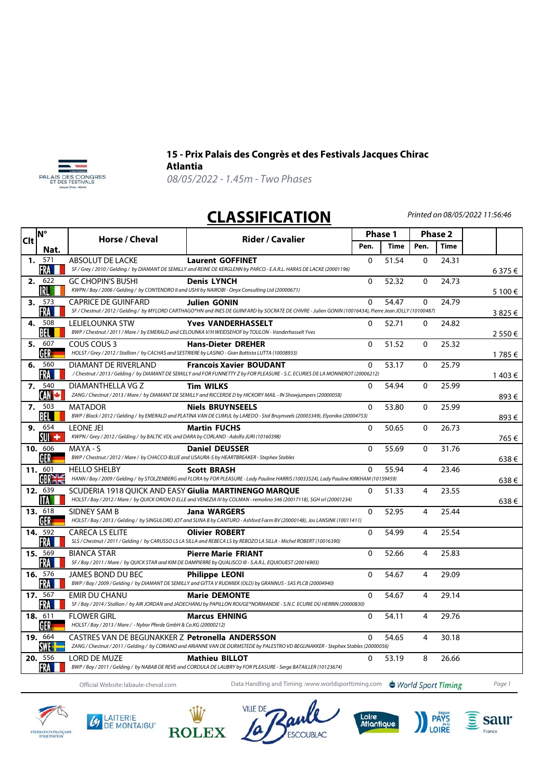



## **15 - Prix Palais des Congrès et des Festivals Jacques Chirac Atlantia**

08/05/2022 - 1.45m - Two Phases

## **CLASSIFICATION**

Printed on 08/05/2022 11:56:46

|    | <b>N°</b><br><b>Clt</b><br>Nat. | Horse / Cheval                                                                                                     | Rider / Cavalier                                                                                                                                           | Phase 1     |             | <b>Phase 2</b> |             |           |
|----|---------------------------------|--------------------------------------------------------------------------------------------------------------------|------------------------------------------------------------------------------------------------------------------------------------------------------------|-------------|-------------|----------------|-------------|-----------|
|    |                                 |                                                                                                                    |                                                                                                                                                            | Pen.        | <b>Time</b> | Pen.           | <b>Time</b> |           |
| 1. | 571                             | <b>ABSOLUT DE LACKE</b>                                                                                            | <b>Laurent GOFFINET</b>                                                                                                                                    | $\Omega$    | 51.54       | 0              | 24.31       |           |
|    | FRA                             |                                                                                                                    | SF / Grey / 2010 / Gelding / by DIAMANT DE SEMILLY and REINE DE KERGLENN by PARCO - E.A.R.L. HARAS DE LACKE (20001196)                                     |             |             |                |             | 6 375 €   |
| 2. | 622<br>IRL                      | GC CHOPIN'S BUSHI                                                                                                  | <b>Denis LYNCH</b><br>KWPN / Bay / 2006 / Gelding / by CONTENDRO II and USHI by NAIROBI - Onyx Consulting Ltd (20000671)                                   | 0           | 52.32       | $\mathbf{0}$   | 24.73       |           |
|    | 3. 573                          | <b>CAPRICE DE GUINFARD</b>                                                                                         | <b>Julien GONIN</b>                                                                                                                                        | $\Omega$    | 54.47       | $\Omega$       | 24.79       | 5 100 €   |
|    | FRA                             |                                                                                                                    | SF / Chestnut / 2012 / Gelding / by MYLORD CARTHAGO*HN and INES DE GUINFARD by SOCRATE DE CHIVRE - Julien GONIN (10016434), Pierre Jean JOLLY (10100487)   |             |             |                |             | 3825€     |
| 4. | 508<br>BEL                      | LELIELOUNKA STW                                                                                                    | <b>Yves VANDERHASSELT</b><br>BWP / Chestnut / 2011 / Mare / by EMERALD and CELOUNKA V/H WEIDSEHOF by TOULON - Vanderhasselt Yves                           | $\Omega$    | 52.71       | $\Omega$       | 24.82       | 2 5 5 0 € |
|    | 5. 607<br>GER                   | COUS COUS 3<br>HOLST / Grey / 2012 / Stallion / by CACHAS and SESTRIERE by LASINO - Gian Battista LUTTA (10008933) | <b>Hans-Dieter DREHER</b>                                                                                                                                  | $\Omega$    | 51.52       | $\mathbf{0}$   | 25.32       | 1785€     |
| 6. | 560<br>FRA                      | DIAMANT DE RIVERLAND                                                                                               | <b>Francois Xavier BOUDANT</b><br>/Chestnut/2013/Gelding/by DIAMANT DE SEMILLY and FOR FUNNETTY Z by FOR PLEASURE - S.C. ECURIES DE LA MONNEROT (20006212) | $\Omega$    | 53.17       | $\Omega$       | 25.79       | 1 403 €   |
|    | 7. 540<br>CAN <b>C</b>          | DIAMANTHELLA VG Z                                                                                                  | <b>Tim WILKS</b><br>ZANG / Chestnut / 2013 / Mare / by DIAMANT DE SEMILLY and RICCERDE D by HICKORY MAIL - IN Showjumpers (20000058)                       | 0           | 54.94       | $\mathbf{0}$   | 25.99       | 893€      |
|    | 7. 503<br>BEL                   | <b>MATADOR</b>                                                                                                     | <b>Niels BRUYNSEELS</b><br>BWP / Black / 2012 / Gelding / by EMERALD and PLATINA VAN DE CUMUL by LAREDO - Stal Bruynseels (20003349), Elyonika (20004753)  | $\Omega$    | 53.80       | $\mathbf{0}$   | 25.99       | 893€      |
|    | 9. 654<br>SUI +                 | <b>LEONE JEI</b><br>KWPN / Grey / 2012 / Gelding / by BALTIC VDL and DARA by CORLAND - Adolfo JURI (10160398)      | <b>Martin FUCHS</b>                                                                                                                                        | $\Omega$    | 50.65       | 0              | 26.73       | 765€      |
|    | 10. 606<br>GER                  | MAYA - S<br>BWP / Chestnut / 2012 / Mare / by CHACCO-BLUE and USAURA-S by HEARTBREAKER - Stephex Stables           | <b>Daniel DEUSSER</b>                                                                                                                                      | $\Omega$    | 55.69       | $\Omega$       | 31.76       | 638€      |
|    | 11. 601                         | <b>HELLO SHELBY</b>                                                                                                | <b>Scott BRASH</b>                                                                                                                                         | $\Omega$    | 55.94       | 4              | 23.46       |           |
|    | GBRE                            |                                                                                                                    | HANN / Bay / 2009 / Gelding / by STOLZENBERG and FLORA by FOR PLEASURE - Lady Pauline HARRIS (10033524), Lady Pauline KIRKHAM (10159459)                   |             |             |                |             | 638€      |
|    | 12. 639<br><b>ITA</b>           | SCUDERIA 1918 QUICK AND EASY Giulia MARTINENGO MARQUE                                                              | HOLST/Bay/2012/Mare/ by QUICK ORION D ELLE and VENEZIA IV by COLMAN - remolino 546 (20017118), SGH srl (20001234)                                          | 0           | 51.33       | 4              | 23.55       | 638€      |
|    | 13. 618<br>GER                  | SIDNEY SAM B                                                                                                       | <b>Jana WARGERS</b><br>HOLST / Bay / 2013 / Gelding / by SINGULORD JOT and SUNA B by CANTURO - Ashford Farm BV (20000148), Jos LANSINK (10011411)          | $\Omega$    | 52.95       | 4              | 25.44       |           |
|    | 14. 592<br>FRA                  | <b>CARECA LS ELITE</b>                                                                                             | <b>Olivier ROBERT</b><br>SLS / Chestnut / 2011 / Gelding / by CARUSSO LS LA SILLA and REBECA LS by REBOZO LA SILLA - Michel ROBERT (10016390)              | $\Omega$    | 54.99       | 4              | 25.54       |           |
|    | 15. 569<br>FRA                  | <b>BIANCA STAR</b>                                                                                                 | <b>Pierre Marie FRIANT</b><br>SF / Bay / 2011 / Mare / by QUICK STAR and KIM DE DAMPIERRE by QUALISCO III - S.A.R.L. EQUIOUEST (20016903)                  | 0           | 52.66       | $\overline{4}$ | 25.83       |           |
|    | 16. 576<br>FRA                  | JAMES BOND DU BEC                                                                                                  | <b>Philippe LEONI</b><br>BWP / Bay / 2009 / Gelding / by DIAMANT DE SEMILLY and GITTA V RUDMIEK (OLD) by GRANNUS - SAS PLCB (20004940)                     | $\mathbf 0$ | 54.67       | 4              | 29.09       |           |
|    | 17. 567<br>FRA                  | <b>EMIR DU CHANU</b>                                                                                               | <b>Marie DEMONTE</b><br>SF / Bay / 2014 / Stallion / by AIR JORDAN and JADECHANU by PAPILLON ROUGE*NORMANDIE - S.N.C ECURIE DU HERRIN (20000830)           | $\Omega$    | 54.67       | 4              | 29.14       |           |
|    | 18. 611<br>GER                  | <b>FLOWER GIRL</b><br>HOLST / Bay / 2013 / Mare / - Nybor Pferde GmbH & Co.KG (20000212)                           | <b>Marcus EHNING</b>                                                                                                                                       | $\mathbf 0$ | 54.11       | 4              | 29.76       |           |
|    | 19. 664<br><b>SWE-</b>          | CASTRES VAN DE BEGIJNAKKER Z Petronella ANDERSSON                                                                  | ZANG / Chestnut / 2011 / Gelding / by CORIANO and ARIANNE VAN DE DURMSTEDE by PALESTRO VD BEGIJNAKKER - Stephex Stables (20000056)                         | $\Omega$    | 54.65       | 4              | 30.18       |           |
|    | 20. 556<br>FRA                  | <b>LORD DE MUZE</b>                                                                                                | <b>Mathieu BILLOT</b><br>BWP / Bay / 2011 / Gelding / by NABAB DE REVE and CORDULA DE LAUBRY by FOR PLEASURE - Serge BATAILLER (10123674)                  | $\Omega$    | 53.19       | 8              | 26.66       |           |

Official Website:labaule-cheval.com Data Handling and Timing :www.worldsporttiming.com World Sport Timing Page 1